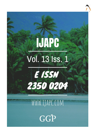# **IJAPC** Vol. 13 Iss. 1



# WWW.IJAPC.COM

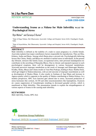

REVIEW ARTICLE www.ijapc.com

**e-ISSN 2350-0204**

## **Understanding** *Srama* **as a** *Nidana* **for Male Infertility w.s.r to Psychological Stress**

Rijin Mohan<sup>1\*</sup> and Saranya S Kumar<sup>2</sup>

<sup>1</sup>Dept of Roga Nidana, Shri Dhanwantry Ayurvedic College and Hospital, Sector 46-B, Chandigarh, Punjab, India

<sup>2</sup>Dept of Kayachikitsa, Shri Dhanwantry Ayurvedic College and Hospital, Sector 46-B, Chandigarh, Punjab, India

### **ABSTRACT**

Male infertility is defined as the inability of a male to cause pregnancy in a fertile female. Ayurveda explains four major contributory factors responsible for reproduction. They are Ritu, Kshetra, Ambu and Beeja. Among which Beeja plays a pivotal role. Psychologically deferring factors like Chinta, Shoka, and Bhaya etc attribute to mental stress in individuals. In the present day lifestyle, stressors like family issues, occupational stress, inter personal maladaptation etc contributes in the unveiling of Manasika Bhava. Due to chronic and repeated exposure to such psychological eruptions, there will be derangement in various hormonal metabolisms. Ayurveda perceives improper metabolism as the result of Jataragni and Dhatwagni Mandya. Krodha, Shoka, Bhaya and Chinta results in Vata Pitta Prakopa, leading to Rasa- Raktha Dusti, which get lodged in Shukravahasrotas, with an end outcome of improper nourishment as well as development of Shukra Dhatu. It also results in Soshana of Aap Dhatu and increase in Agneya quality which is opposite to the quality of Shukra contributing to Shukra Kshaya. In a modern perspective, HPG Axis function gets altered due to stress. Increased production of stress hormones like cortisol, ACTH and other neurotransmitters like Epinephrine, Oxytocin etc causes suppression of Gonadotropin resulting in decreased gonadal activity, which is manifested as Male Infertility. This presentation intends to explain the etiopathogenesis of various aspects of Srama in the causing male infertility.

#### **KEYWORDS**

*Male infertility, Srama, HPG Axis*



Received 19/05/20 Accepted 01/07/2020 Published 10/07/2020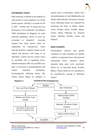

#### **INTRODUCTION**

Male infertility is defined as the inability of male partner to cause pregnancy in a fertile female partner. Globally it accounts for 40 to 50%. Fertility rate of young men has decreased to 15% worldwide. According to WHO distribution of diagnosis for male infertility guidelines, 48.5% of cases are  $accounted$  as  $idiopathic<sup>1</sup>$ . . Ayurveda explains four major factors which are responsible for reproduction. Stress typically presents a negative impact on the mental and physical well being of an individual. Central nervous system exerts an inevitable role in regulating stressrelated mechanism. HPG axis and HPA axis play a crucial part in spermatogenesis and related hormonal mechanism. Psychologically deferring factors like *Chinta, Shoka, Bhaya* etc attribute to

**Diagram 1:** *SAMPRAPTHI* **(Pathogenesis)**



mental stress in individuals. *Shukra* have the predominance of *Jala Mahabootha* and *Akasha Maha Bootha* and possess *Saumya Guna*. *Manasika hethus* are explained for producing the *Dusti* of *Shukra Dathu*, which includes *Kama, Krodha, Bhaya, Chinta, Shoka, Vibhrama* etc. *Ksheena shukra lakshana* includes *Srama* and *Klaibya*<sup>2</sup> .

#### **DISCUSSION**

Psychological stressors that greatly contribute for male infertility are familial conflicts, occupational stress, inter personal relationship issues, substance abuse, impaired sleep wake cycle, psychiatric illness etc. In Ayurveda *Kama, Krodha, Bhaya, Chinta, Shoka* etc are considered to be contributively causing to *Manasika Srama*<sup>3</sup> .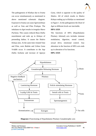

The pathogenesis of *Klaibya* due to *Srama* can occur simultaneously as mentioned in above mentioned schematic diagram. Exposure to Srama can cause *Agnivaishmya* as well as *Vata* and *Pitta Prakopa*. The imbalance in *Agni* results in irregular *Ahara Pachana*. This causes reduced *Rasa Dathu* nourishment and ends up in *Kshaya* of preseeding dathus. It causes the *Shukra Kshaya* also. At the same time vitiated *Vata* and *Pitta*, were *Ruksha* and *Ushna Guna Vriddhi* occur. It contributes to the *Aap Dathu Soshana* and increase of *Agneya* 

*Guna*, which is opposite to the quality of *Shukra*. All of which results in *Shukra Kshaya* ending up in *Klaibya* as mentioned in Figure 1. In the pathogenesis the *Dusti* of *Agni* at different levels are inevitable.

#### **HPA AXIS**

The functions of HPA (Hypothalamo Pituitary Adrenal) axis includes immune modulation, digestion, mood control, sexual drive, emotional control. Any alteration in the function of HPA axis ends up in alteration of its functions.

#### **HPG AXIS**



**Diagram 2** Functioning of Hypothalamo Pituitary Gonadotrophic axis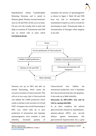

Hypothalamus release Gonadotrophin Releasing Hormone and is stored in Pituitary gland. Pituitary secretes hormones such as LH and FSH, all this occur at brain. LH acts over the Leydig cells in testis and helps in secretion of Testosterone and FSH acts on Sertoli cells in testis which **PATHOGENESIS** 

stimulates the process of spermatogenesis as shown in figure 2. Both LH and FSH have key role in development and nourishment of sperm as well as overall sex functioning in male. Testosterone helps in Aromatization of Estrogen which happens in fat cells.



 $\mathcal{L}_\mathcal{L}$  , and the contribution of the contribution of the contribution of the contribution of the contribution of the contribution of the contribution of the contribution of the contribution of the contribution of

Stressors acts up on HPA and alter its normal functioning, which causes the excessive secretion of Glucocorticoid. This will act in two ways, that is Glucocorticoid will inhibits the GnRH production which results in decline in the secretion of LH and FSH<sup>4</sup>. It hampers the overall functioning of HPG axis, which ends up in poor production of testosterone and improper spermatogenesis, were resultant is male infertility. Increased quantity of

Glucocorticoid also inhibits the testosterone production, were it stimulates the Glucocorticoid testicular cell apoptosis. It also ends up in Male infertility.

### **Discussion on HPA-HPG Axis and its role in causing infertility**

In an ideal condition, the adrenal glucocorticoids released by hypothalamic‐ pituitary‐adrenal (HPA) axis, provide defence against homeostasis. The glucocorticoid hypersecretion has a great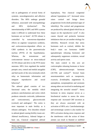

role in pathogenesis of several forms of systemic, neurodegenerative and affective disorders. The HPA undergo gonadal influence, associated with neuropathology and HPA dysfunction<sup>6</sup>. . The interrelationship of HPG and HPA systems make it difficult to understand how these hormones act on brain<sup>5</sup>. ACTH release is controlled by testosterone‐dependent effects on arginine vasopressin synthesis, and corticosterone‐dependent effects on CRH synthesis in the paraventricular nucleus (PVN) of the hypothalamus. Whereas, the testosterone and corticosterone interact on stress‐induced ACTH release and drive to the PVN motor neurones. HPA Axis regulated the medial preoptic area, central and medial amygdala and bed nuclei of the stria terminalis which relay on homeostatic information and integrate reproductive and social behaviour<sup>6</sup>.

The adrenal gland consists of two functional units; the medulla which produces catecholamines and cortex which produces mineralo corticoids, (aldosterone and corticosterone), glucocorticoids (cortisol) and androgens<sup>7</sup>. The cortex is most important in male fertility as it releases androgens. Few disorders related to adrenal gland causing fertility issues are: Adrenal insufficiency, Adrenal fatigue or burn out, Classical congenital adrenal

hyperplasia, Non classical congenital adrenal hyperplasia etc<sup>8</sup>. Increased stress raises cortisol and brings down progesterone levels (both potential signs of infertility). The cortisol and progesterone are produced by adrenal gland which has an impact on the reproductive cycle<sup>9</sup>. It also causes thyroid and prolactin hormone imbalances that are yet another etiology for infertility. Research reveals that stress hormones such as cortisol, inhibits the body's main sex hormones GnRH (gonadotropin releasing hormone) and subsequently suppresses ovulation, sexual activity and sperm count.

The main control in this axis are corticotrophin releasing hormone or factor (CRF), adrenocorticotropic hormone  $(ACTH)$  and cortisol<sup>10</sup>. Several brain neurotransmitters such as vasopressin, oxytocin, β-endorphin, angiotensin II, epinephrine, norepinephrine and serotonin among others are involved in mediating and integrating the stressful stimuli<sup>11</sup>. Stress hormone in stress response serves as a biochemical marker to assess the stress response and increased CRF secretion as they are always associated with an activation of HPA axis. Catecholaminergic and serotonergic system is also marker for HPA activation during stress response and the interference with the action of these amines can result in blunted or nullified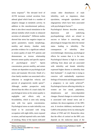stress response<sup>12</sup>. The elevated level of ACTH increases cortisol secretion from adrenal gland which leads to a number of adaptive changes in metabolic activity. In addition to this neurohormonal pathway, there is also direct neural stimulation to the adrenal medulla which results in enhanced secretion of adrenaline<sup>13</sup>. Different studies showed that stress has negative impact on sperm parameters; mainly morphology, motility and density. Another study provides evidence for a significant setback in semen quality of male IVF patients and demonstrates an inverse relationship between semen quality and specific aspects of psychological stress<sup>14</sup>. Sperm concentration, percent motility, and semen volume are dependent on psychological job stress and traumatic life-event. Death of a close family member was associated with a reduction in straight-line velocity and percent of progressively motile sperm<sup>15</sup>. Although, another prospective study showed that the effect of a man's daily life psychological stress on his semen quality is negligible and effects only on fecundability, which is seen only among men with low sperm concentration. Psychological stress on male infertility was found to be associated with tiring occupation with night shifts, more exposed to noises, and had reported with a new habit of smoking. Many of the reports indicated

certain other disturbances of male infertility, such as impotence, sham ejaculation, retrograde ejaculation and oligospermia which have been associated with psychological factors<sup>16</sup>.

Psychological distress describes anxiety, depression and underlying psychopathology which are related to success or failure in conceiving, and physiological changes that alters the mental status leading to infertility. The consequences of infertility show overwhelmingly distressing psychological effects for women than it is for men. Psychological distress is high in a women suffering from abuse and are associated with infertility and female infertility expressed higher distress to infertility than their husbands<sup>17</sup>. A couple that is trying to conceive will undoubtedly experience feelings of frustration and disappointment if a pregnancy is not easily achieved<sup>18</sup>. Psychological factors affecting infertility in women are low mood, palpitation, sleeplessness and stress-dependent changes. Diurnal changes in cortisol release is associated with mental stress and it mediates the down-regulation of the HPG axis. It involves inhibitory mechanisms of GnRH at the pituitary level, by reducing the release of FSH and LH. Researches show that the effect of cortisol on the HPG axis depends on the endocrine status of the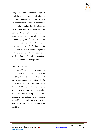

ovary in the menstrual  $cycle<sup>19</sup>$ . Psychological distress significantly increases norepinephrine and cortisol concentrations and a lower concentration of norepinephrine and cortisol, both in serum and follicular fluid, were found in fertile women. Norepinephrine and cortisol concentrations may negatively influence the clinical pregnancy<sup>20</sup>. These could be the link in the complex relationship between psychosocial stress and infertility. Infertile may have negative emotional responses, such as stress, anxiety and depressions which are both a physical and emotional burden on women and their partners.

#### **CONCLUSION**

*Manasika Nidanas* which causes srama has an inevitable role in causation of male infertility. *Prakupita Vata* and *Pitta* which causes *Agnimandya* in various levels, which leads to *Shukra Dusti* and *Shukra Kshaya*. HPA axis which is activated via stressors releases corticosteroids, inhibits HPG axis and ends up in improper spermatogenesis and testosterone secretion. A healthy approach on psychological stressors is essential to prevent male infertility.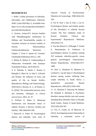#### **REFERENCES**

1. WHO | Global prevalence of infertility, infecundity and childlessness [Internet]. WHO. [cited 2020 May 1]. Available from: https://www.who.int/reproductivehealth/to pics/infertility/burden/en

2. .Susruta, AcharyaYT. Susruta Samhita with Nibandhaangraha commentary by Dalhana and Nayachandrika panjika of Gayodasa Acharya on Susruta samhita of Susruta. Shareerasthana;

Gharbavakrantheeyam Shareeram : Chapter 3, Verse 4. reprint ed. Varanasi: Chaukamba Publiations:2014. p. 350.

3. Mohan R, Mohan N. Understanding of Shukravaha Srotodushti with Samanya Srotodushti Prakara. 2019;10(3):10.

4. 8. Palomba S, Daolio J, Romeo S, Battaglia F, Marci R, La Sala G. Lifestyle and fertility: the influence of stress and quality of life on female fertility. Reproductive Biology and Endocrinology. 2018;16(1).5. Rooney, K. L., & Domar, A. D. (2018). The relationship between stress and infertility. *Dialogues in clinical neuroscience*, *20*(1), 41–47.

6. Wallach E, Baker E. Menstrual Dysfunction and Hormonal Status in Athletic Women: A Review. Fertility and Sterility. 1981;36(6):691-696.

7. Brkovich A, Fisher W. Psychological distress and infertility: forty years of

 $\mathcal{L}_\mathcal{L}$  , and the contribution of the contribution of the contribution of the contribution of the contribution of the contribution of the contribution of the contribution of the contribution of the contribution of

research. Journal of Psychosomatic Obstetrics & Gynecology. 1998;19(4):218- 228.

8. Chi H, Park I, Sun H, Kim J, Lee K. Psychological distress and fertility quality of life (FertiQoL) in infertile Korean women: The first validation study of Korean FertiQoL. Clinical and Experimental Reproductive Medicine. 2016;43(3):174.

9. Van den Broeck U, D'Hooghe T, Enzlin P, Demyttenaere K. Predictors of psychological distress in patients starting IVF treatment: infertility-specific versus general psychological characteristics. Human Reproduction. 2010;25(6):1471- 1480.

10. Dyer S, Abrahams N, Mokoena N, Lombard C, van der Spuy Z. Psychological distress among women suffering from couple infertility in South Africa: a quantitative assessment. Human Reproduction. 2005;20(7):1938-1943.

11. 13. Alosaimi F, Altuwirqi M, Bukhari M, Abotalib Z, BinSaleh S. Psychiatric disorders among infertile men and women attending three infertility clinics in Riyadh, Saudi Arabia. Annals of Saudi Medicine. 2015;35(5):359-367.

12. Tao, P., Coates, R., & Maycock, B. (2012). Investigating marital relationship in infertility: a systematic review of